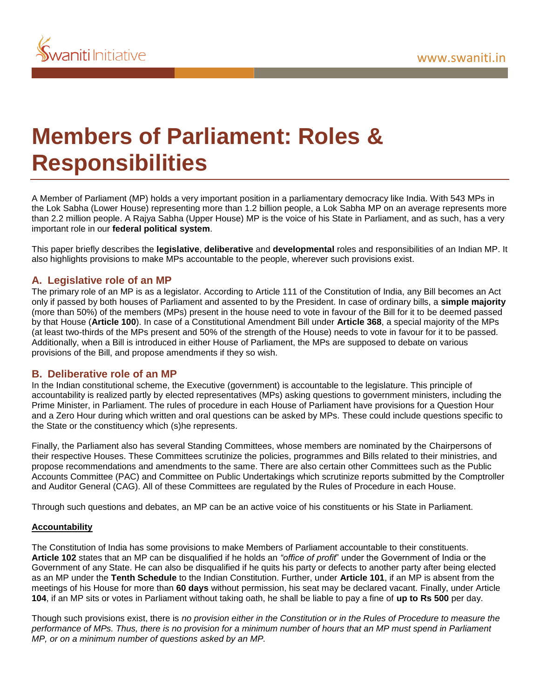

# **Members of Parliament: Roles & Responsibilities**

A Member of Parliament (MP) holds a very important position in a parliamentary democracy like India. With 543 MPs in the Lok Sabha (Lower House) representing more than 1.2 billion people, a Lok Sabha MP on an average represents more than 2.2 million people. A Rajya Sabha (Upper House) MP is the voice of his State in Parliament, and as such, has a very important role in our **federal political system**.

This paper briefly describes the **legislative**, **deliberative** and **developmental** roles and responsibilities of an Indian MP. It also highlights provisions to make MPs accountable to the people, wherever such provisions exist.

## **A. Legislative role of an MP**

The primary role of an MP is as a legislator. According to Article 111 of the Constitution of India, any Bill becomes an Act only if passed by both houses of Parliament and assented to by the President. In case of ordinary bills, a **simple majority** (more than 50%) of the members (MPs) present in the house need to vote in favour of the Bill for it to be deemed passed by that House (**Article 100**). In case of a Constitutional Amendment Bill under **Article 368**, a special majority of the MPs (at least two-thirds of the MPs present and 50% of the strength of the House) needs to vote in favour for it to be passed. Additionally, when a Bill is introduced in either House of Parliament, the MPs are supposed to debate on various provisions of the Bill, and propose amendments if they so wish.

## **B. Deliberative role of an MP**

In the Indian constitutional scheme, the Executive (government) is accountable to the legislature. This principle of accountability is realized partly by elected representatives (MPs) asking questions to government ministers, including the Prime Minister, in Parliament. The rules of procedure in each House of Parliament have provisions for a Question Hour and a Zero Hour during which written and oral questions can be asked by MPs. These could include questions specific to the State or the constituency which (s)he represents.

Finally, the Parliament also has several Standing Committees, whose members are nominated by the Chairpersons of their respective Houses. These Committees scrutinize the policies, programmes and Bills related to their ministries, and propose recommendations and amendments to the same. There are also certain other Committees such as the Public Accounts Committee (PAC) and Committee on Public Undertakings which scrutinize reports submitted by the Comptroller and Auditor General (CAG). All of these Committees are regulated by the Rules of Procedure in each House.

Through such questions and debates, an MP can be an active voice of his constituents or his State in Parliament.

#### **Accountability**

The Constitution of India has some provisions to make Members of Parliament accountable to their constituents. **Article 102** states that an MP can be disqualified if he holds an *"office of profit*" under the Government of India or the Government of any State. He can also be disqualified if he quits his party or defects to another party after being elected as an MP under the **Tenth Schedule** to the Indian Constitution. Further, under **Article 101**, if an MP is absent from the meetings of his House for more than **60 days** without permission, his seat may be declared vacant. Finally, under Article **104**, if an MP sits or votes in Parliament without taking oath, he shall be liable to pay a fine of **up to Rs 500** per day.

Though such provisions exist, there is *no provision either in the Constitution or in the Rules of Procedure to measure the performance of MPs. Thus, there is no provision for a minimum number of hours that an MP must spend in Parliament MP, or on a minimum number of questions asked by an MP.*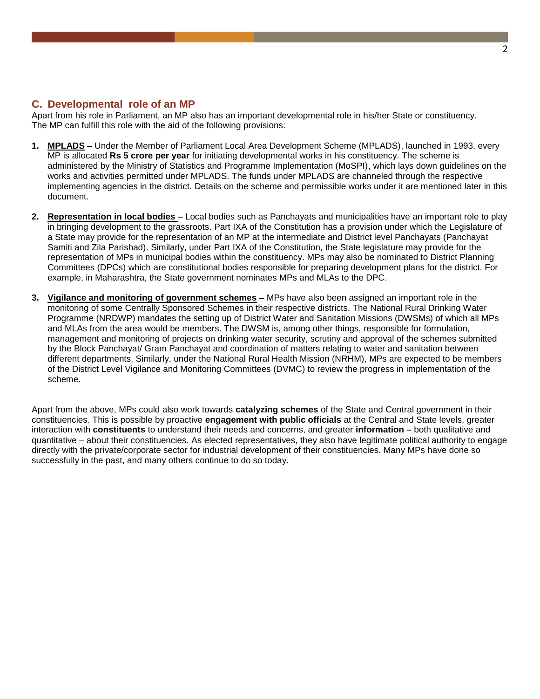## **C. Developmental role of an MP**

Apart from his role in Parliament, an MP also has an important developmental role in his/her State or constituency. The MP can fulfill this role with the aid of the following provisions:

- **1. MPLADS –** Under the Member of Parliament Local Area Development Scheme (MPLADS), launched in 1993, every MP is allocated **Rs 5 crore per year** for initiating developmental works in his constituency. The scheme is administered by the Ministry of Statistics and Programme Implementation (MoSPI), which lays down guidelines on the works and activities permitted under MPLADS. The funds under MPLADS are channeled through the respective implementing agencies in the district. Details on the scheme and permissible works under it are mentioned later in this document.
- **2. Representation in local bodies**  Local bodies such as Panchayats and municipalities have an important role to play in bringing development to the grassroots. Part IXA of the Constitution has a provision under which the Legislature of a State may provide for the representation of an MP at the intermediate and District level Panchayats (Panchayat Samiti and Zila Parishad). Similarly, under Part IXA of the Constitution, the State legislature may provide for the representation of MPs in municipal bodies within the constituency. MPs may also be nominated to District Planning Committees (DPCs) which are constitutional bodies responsible for preparing development plans for the district. For example, in Maharashtra, the State government nominates MPs and MLAs to the DPC.
- **3. Vigilance and monitoring of government schemes –** MPs have also been assigned an important role in the monitoring of some Centrally Sponsored Schemes in their respective districts. The National Rural Drinking Water Programme (NRDWP) mandates the setting up of District Water and Sanitation Missions (DWSMs) of which all MPs and MLAs from the area would be members. The DWSM is, among other things, responsible for formulation, management and monitoring of projects on drinking water security, scrutiny and approval of the schemes submitted by the Block Panchayat/ Gram Panchayat and coordination of matters relating to water and sanitation between different departments. Similarly, under the National Rural Health Mission (NRHM), MPs are expected to be members of the District Level Vigilance and Monitoring Committees (DVMC) to review the progress in implementation of the scheme.

Apart from the above, MPs could also work towards **catalyzing schemes** of the State and Central government in their constituencies. This is possible by proactive **engagement with public officials** at the Central and State levels, greater interaction with **constituents** to understand their needs and concerns, and greater **information** – both qualitative and quantitative – about their constituencies. As elected representatives, they also have legitimate political authority to engage directly with the private/corporate sector for industrial development of their constituencies. Many MPs have done so successfully in the past, and many others continue to do so today.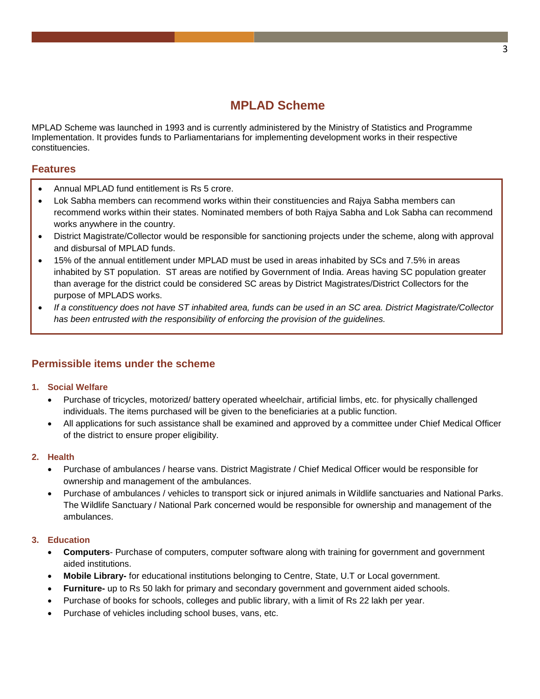## **MPLAD Scheme**

MPLAD Scheme was launched in 1993 and is currently administered by the Ministry of Statistics and Programme Implementation. It provides funds to Parliamentarians for implementing development works in their respective constituencies.

## **Features**

- Annual MPLAD fund entitlement is Rs 5 crore.
- Lok Sabha members can recommend works within their constituencies and Rajya Sabha members can recommend works within their states. Nominated members of both Rajya Sabha and Lok Sabha can recommend works anywhere in the country.
- District Magistrate/Collector would be responsible for sanctioning projects under the scheme, along with approval and disbursal of MPLAD funds.
- 15% of the annual entitlement under MPLAD must be used in areas inhabited by SCs and 7.5% in areas inhabited by ST population. ST areas are notified by Government of India. Areas having SC population greater than average for the district could be considered SC areas by District Magistrates/District Collectors for the purpose of MPLADS works.
- *If a constituency does not have ST inhabited area, funds can be used in an SC area. District Magistrate/Collector has been entrusted with the responsibility of enforcing the provision of the guidelines.*

## **Permissible items under the scheme**

## **1. Social Welfare**

- Purchase of tricycles, motorized/ battery operated wheelchair, artificial limbs, etc. for physically challenged individuals. The items purchased will be given to the beneficiaries at a public function.
- All applications for such assistance shall be examined and approved by a committee under Chief Medical Officer of the district to ensure proper eligibility.

## **2. Health**

- Purchase of ambulances / hearse vans. District Magistrate / Chief Medical Officer would be responsible for ownership and management of the ambulances.
- Purchase of ambulances / vehicles to transport sick or injured animals in Wildlife sanctuaries and National Parks. The Wildlife Sanctuary / National Park concerned would be responsible for ownership and management of the ambulances.

## **3. Education**

- **Computers** Purchase of computers, computer software along with training for government and government aided institutions.
- **Mobile Library-** for educational institutions belonging to Centre, State, U.T or Local government.
- **Furniture-** up to Rs 50 lakh for primary and secondary government and government aided schools.
- Purchase of books for schools, colleges and public library, with a limit of Rs 22 lakh per year.
- Purchase of vehicles including school buses, vans, etc.